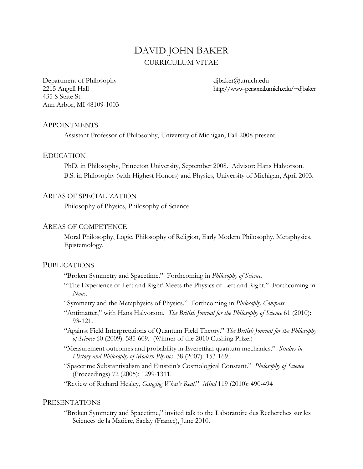# DAVID JOHN BAKER CURRICULUM VITAE

Department of Philosophy dipaker@umich.edu 435 S State St. Ann Arbor, MI 48109-1003

2215 Angell Hall http://www-personal.umich.edu/~djbaker

### APPOINTMENTS

Assistant Professor of Philosophy, University of Michigan, Fall 2008-present.

### EDUCATION

 PhD. in Philosophy, Princeton University, September 2008. Advisor: Hans Halvorson. B.S. in Philosophy (with Highest Honors) and Physics, University of Michigan, April 2003.

### AREAS OF SPECIALIZATION

Philosophy of Physics, Philosophy of Science.

#### AREAS OF COMPETENCE

Moral Philosophy, Logic, Philosophy of Religion, Early Modern Philosophy, Metaphysics, Epistemology.

### PUBLICATIONS

"Broken Symmetry and Spacetime." Forthcoming in *Philosophy of Science*.

- "'The Experience of Left and Right' Meets the Physics of Left and Right." Forthcoming in *Nous*.
- "Symmetry and the Metaphysics of Physics." Forthcoming in *Philosophy Compass*.
- "Antimatter," with Hans Halvorson. *The British Journal for the Philosophy of Science* 61 (2010): 93-121.
- "Against Field Interpretations of Quantum Field Theory." *The British Journal for the Philosophy of Science* 60 (2009): 585-609. (Winner of the 2010 Cushing Prize.)
- "Measurement outcomes and probability in Everettian quantum mechanics." *Studies in History and Philosophy of Modern Physics* 38 (2007): 153-169.
- "Spacetime Substantivalism and Einstein's Cosmological Constant." *Philosophy of Science* (Proceedings) 72 (2005): 1299-1311.

"Review of Richard Healey, *Gauging What's Real*." *Mind* 119 (2010): 490-494

### PRESENTATIONS

"Broken Symmetry and Spacetime," invited talk to the Laboratoire des Recherches sur les Sciences de la Matière, Saclay (France), June 2010.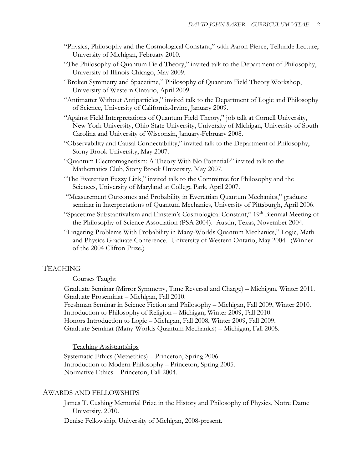- "Physics, Philosophy and the Cosmological Constant," with Aaron Pierce, Telluride Lecture, University of Michigan, February 2010.
- "The Philosophy of Quantum Field Theory," invited talk to the Department of Philosophy, University of Illinois-Chicago, May 2009.
- "Broken Symmetry and Spacetime," Philosophy of Quantum Field Theory Workshop, University of Western Ontario, April 2009.
- "Antimatter Without Antiparticles," invited talk to the Department of Logic and Philosophy of Science, University of California-Irvine, January 2009.
- "Against Field Interpretations of Quantum Field Theory," job talk at Cornell University, New York University, Ohio State University, University of Michigan, University of South Carolina and University of Wisconsin, January-February 2008.
- "Observability and Causal Connectability," invited talk to the Department of Philosophy, Stony Brook University, May 2007.
- "Quantum Electromagnetism: A Theory With No Potential?" invited talk to the Mathematics Club, Stony Brook University, May 2007.
- "The Everettian Fuzzy Link," invited talk to the Committee for Philosophy and the Sciences, University of Maryland at College Park, April 2007.
- "Measurement Outcomes and Probability in Everettian Quantum Mechanics," graduate seminar in Interpretations of Quantum Mechanics, University of Pittsburgh, April 2006.
- "Spacetime Substantivalism and Einstein's Cosmological Constant," 19<sup>th</sup> Biennial Meeting of the Philosophy of Science Association (PSA 2004). Austin, Texas, November 2004.
- "Lingering Problems With Probability in Many-Worlds Quantum Mechanics," Logic, Math and Physics Graduate Conference. University of Western Ontario, May 2004. (Winner of the 2004 Clifton Prize.)

## TEACHING

### Courses Taught

Graduate Seminar (Mirror Symmetry, Time Reversal and Charge) – Michigan, Winter 2011. Graduate Proseminar – Michigan, Fall 2010.

Freshman Seminar in Science Fiction and Philosophy – Michigan, Fall 2009, Winter 2010.

Introduction to Philosophy of Religion – Michigan, Winter 2009, Fall 2010.

Honors Introduction to Logic – Michigan, Fall 2008, Winter 2009, Fall 2009.

Graduate Seminar (Many-Worlds Quantum Mechanics) – Michigan, Fall 2008.

### Teaching Assistantships

Systematic Ethics (Metaethics) – Princeton, Spring 2006. Introduction to Modern Philosophy – Princeton, Spring 2005. Normative Ethics – Princeton, Fall 2004.

#### AWARDS AND FELLOWSHIPS

James T. Cushing Memorial Prize in the History and Philosophy of Physics, Notre Dame University, 2010.

Denise Fellowship, University of Michigan, 2008-present.